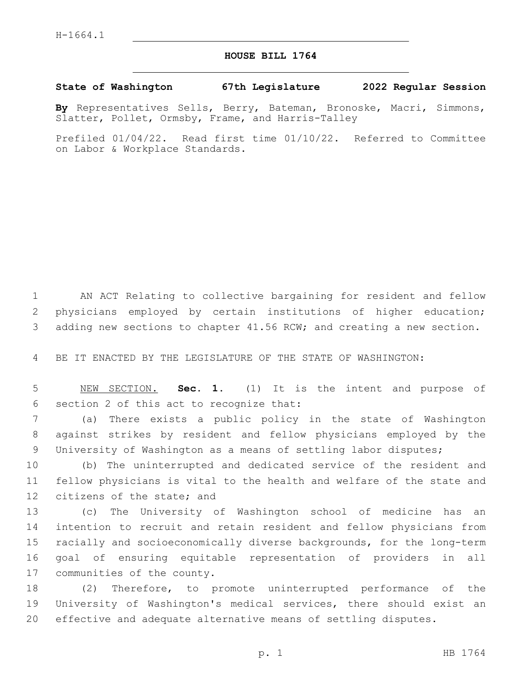## **HOUSE BILL 1764**

## **State of Washington 67th Legislature 2022 Regular Session**

**By** Representatives Sells, Berry, Bateman, Bronoske, Macri, Simmons, Slatter, Pollet, Ormsby, Frame, and Harris-Talley

Prefiled 01/04/22. Read first time 01/10/22. Referred to Committee on Labor & Workplace Standards.

 AN ACT Relating to collective bargaining for resident and fellow physicians employed by certain institutions of higher education; adding new sections to chapter 41.56 RCW; and creating a new section.

BE IT ENACTED BY THE LEGISLATURE OF THE STATE OF WASHINGTON:

 NEW SECTION. **Sec. 1.** (1) It is the intent and purpose of section 2 of this act to recognize that:

 (a) There exists a public policy in the state of Washington against strikes by resident and fellow physicians employed by the University of Washington as a means of settling labor disputes;

 (b) The uninterrupted and dedicated service of the resident and fellow physicians is vital to the health and welfare of the state and 12 citizens of the state; and

 (c) The University of Washington school of medicine has an intention to recruit and retain resident and fellow physicians from racially and socioeconomically diverse backgrounds, for the long-term goal of ensuring equitable representation of providers in all 17 communities of the county.

 (2) Therefore, to promote uninterrupted performance of the University of Washington's medical services, there should exist an effective and adequate alternative means of settling disputes.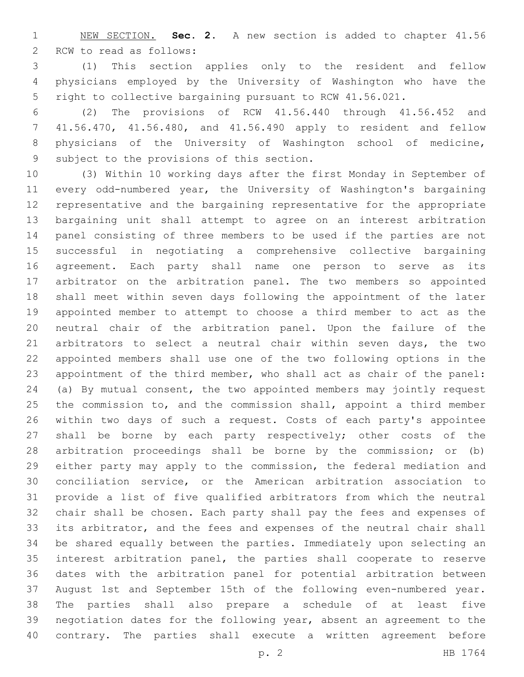NEW SECTION. **Sec. 2.** A new section is added to chapter 41.56 2 RCW to read as follows:

 (1) This section applies only to the resident and fellow physicians employed by the University of Washington who have the right to collective bargaining pursuant to RCW 41.56.021.

 (2) The provisions of RCW 41.56.440 through 41.56.452 and 41.56.470, 41.56.480, and 41.56.490 apply to resident and fellow physicians of the University of Washington school of medicine, 9 subject to the provisions of this section.

 (3) Within 10 working days after the first Monday in September of every odd-numbered year, the University of Washington's bargaining representative and the bargaining representative for the appropriate bargaining unit shall attempt to agree on an interest arbitration panel consisting of three members to be used if the parties are not successful in negotiating a comprehensive collective bargaining agreement. Each party shall name one person to serve as its arbitrator on the arbitration panel. The two members so appointed shall meet within seven days following the appointment of the later appointed member to attempt to choose a third member to act as the neutral chair of the arbitration panel. Upon the failure of the 21 arbitrators to select a neutral chair within seven days, the two appointed members shall use one of the two following options in the appointment of the third member, who shall act as chair of the panel: (a) By mutual consent, the two appointed members may jointly request the commission to, and the commission shall, appoint a third member within two days of such a request. Costs of each party's appointee shall be borne by each party respectively; other costs of the arbitration proceedings shall be borne by the commission; or (b) either party may apply to the commission, the federal mediation and conciliation service, or the American arbitration association to provide a list of five qualified arbitrators from which the neutral chair shall be chosen. Each party shall pay the fees and expenses of its arbitrator, and the fees and expenses of the neutral chair shall be shared equally between the parties. Immediately upon selecting an interest arbitration panel, the parties shall cooperate to reserve dates with the arbitration panel for potential arbitration between August 1st and September 15th of the following even-numbered year. The parties shall also prepare a schedule of at least five negotiation dates for the following year, absent an agreement to the contrary. The parties shall execute a written agreement before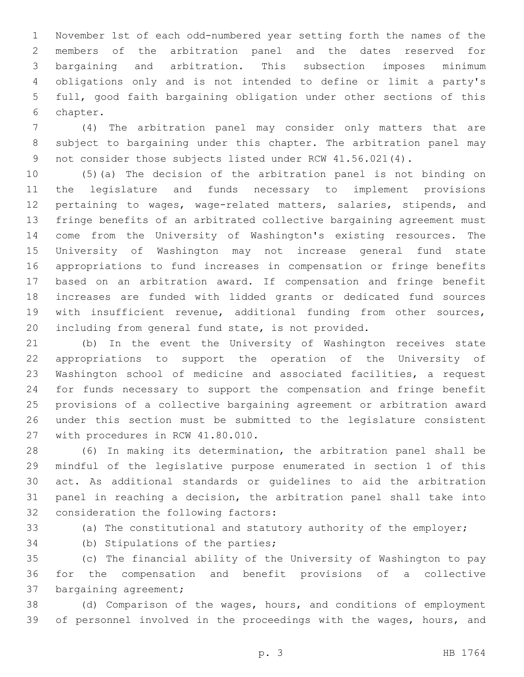November 1st of each odd-numbered year setting forth the names of the members of the arbitration panel and the dates reserved for bargaining and arbitration. This subsection imposes minimum obligations only and is not intended to define or limit a party's full, good faith bargaining obligation under other sections of this 6 chapter.

 (4) The arbitration panel may consider only matters that are subject to bargaining under this chapter. The arbitration panel may 9 not consider those subjects listed under RCW 41.56.021(4).

 (5)(a) The decision of the arbitration panel is not binding on the legislature and funds necessary to implement provisions pertaining to wages, wage-related matters, salaries, stipends, and fringe benefits of an arbitrated collective bargaining agreement must come from the University of Washington's existing resources. The University of Washington may not increase general fund state appropriations to fund increases in compensation or fringe benefits based on an arbitration award. If compensation and fringe benefit increases are funded with lidded grants or dedicated fund sources with insufficient revenue, additional funding from other sources, including from general fund state, is not provided.

 (b) In the event the University of Washington receives state appropriations to support the operation of the University of Washington school of medicine and associated facilities, a request for funds necessary to support the compensation and fringe benefit provisions of a collective bargaining agreement or arbitration award under this section must be submitted to the legislature consistent 27 with procedures in RCW 41.80.010.

 (6) In making its determination, the arbitration panel shall be mindful of the legislative purpose enumerated in section 1 of this act. As additional standards or guidelines to aid the arbitration panel in reaching a decision, the arbitration panel shall take into 32 consideration the following factors:

(a) The constitutional and statutory authority of the employer;

34 (b) Stipulations of the parties;

 (c) The financial ability of the University of Washington to pay for the compensation and benefit provisions of a collective 37 bargaining agreement;

 (d) Comparison of the wages, hours, and conditions of employment of personnel involved in the proceedings with the wages, hours, and